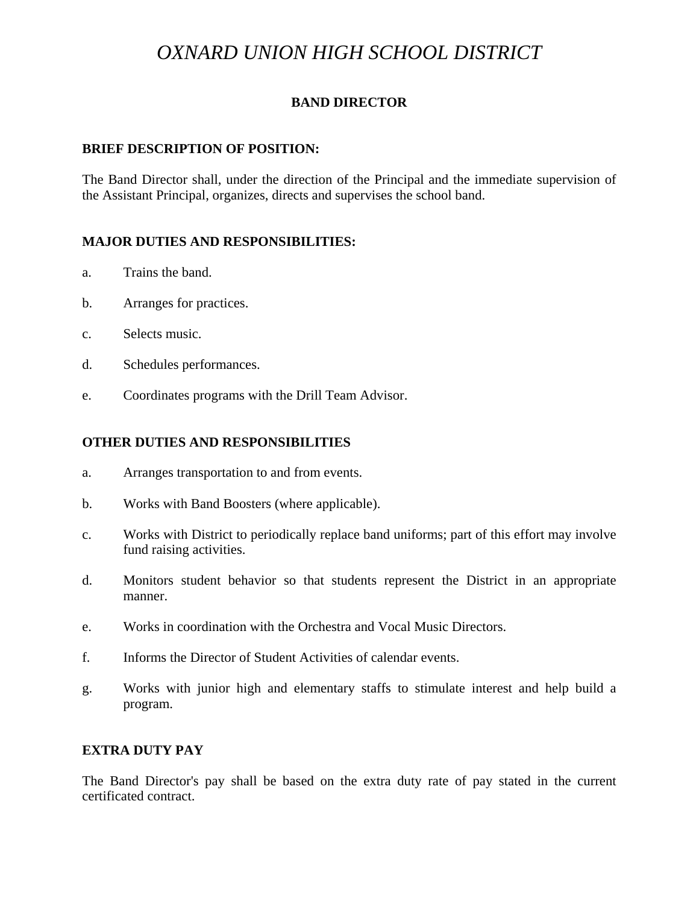# *OXNARD UNION HIGH SCHOOL DISTRICT*

## **BAND DIRECTOR**

#### **BRIEF DESCRIPTION OF POSITION:**

The Band Director shall, under the direction of the Principal and the immediate supervision of the Assistant Principal, organizes, directs and supervises the school band.

## **MAJOR DUTIES AND RESPONSIBILITIES:**

- a. Trains the band.
- b. Arranges for practices.
- c. Selects music.
- d. Schedules performances.
- e. Coordinates programs with the Drill Team Advisor.

#### **OTHER DUTIES AND RESPONSIBILITIES**

- a. Arranges transportation to and from events.
- b. Works with Band Boosters (where applicable).
- c. Works with District to periodically replace band uniforms; part of this effort may involve fund raising activities.
- d. Monitors student behavior so that students represent the District in an appropriate manner.
- e. Works in coordination with the Orchestra and Vocal Music Directors.
- f. Informs the Director of Student Activities of calendar events.
- g. Works with junior high and elementary staffs to stimulate interest and help build a program.

#### **EXTRA DUTY PAY**

The Band Director's pay shall be based on the extra duty rate of pay stated in the current certificated contract.